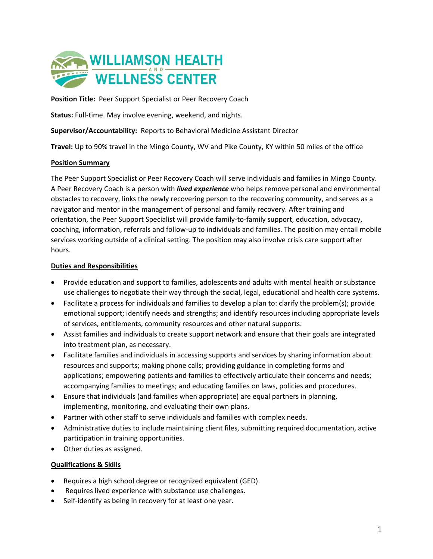

**Position Title:** Peer Support Specialist or Peer Recovery Coach

**Status:** Full-time. May involve evening, weekend, and nights.

**Supervisor/Accountability:** Reports to Behavioral Medicine Assistant Director

**Travel:** Up to 90% travel in the Mingo County, WV and Pike County, KY within 50 miles of the office

## **Position Summary**

The Peer Support Specialist or Peer Recovery Coach will serve individuals and families in Mingo County. A Peer Recovery Coach is a person with *lived experience* who helps remove personal and environmental obstacles to recovery, links the newly recovering person to the recovering community, and serves as a navigator and mentor in the management of personal and family recovery. After training and orientation, the Peer Support Specialist will provide family-to-family support, education, advocacy, coaching, information, referrals and follow-up to individuals and families. The position may entail mobile services working outside of a clinical setting. The position may also involve crisis care support after hours.

## **Duties and Responsibilities**

- Provide education and support to families, adolescents and adults with mental health or substance use challenges to negotiate their way through the social, legal, educational and health care systems.
- Facilitate a process for individuals and families to develop a plan to: clarify the problem(s); provide emotional support; identify needs and strengths; and identify resources including appropriate levels of services, entitlements, community resources and other natural supports.
- Assist families and individuals to create support network and ensure that their goals are integrated into treatment plan, as necessary.
- Facilitate families and individuals in accessing supports and services by sharing information about resources and supports; making phone calls; providing guidance in completing forms and applications; empowering patients and families to effectively articulate their concerns and needs; accompanying families to meetings; and educating families on laws, policies and procedures.
- Ensure that individuals (and families when appropriate) are equal partners in planning, implementing, monitoring, and evaluating their own plans.
- Partner with other staff to serve individuals and families with complex needs.
- Administrative duties to include maintaining client files, submitting required documentation, active participation in training opportunities.
- Other duties as assigned.

## **Qualifications & Skills**

- Requires a high school degree or recognized equivalent (GED).
- Requires lived experience with substance use challenges.
- Self-identify as being in recovery for at least one year.